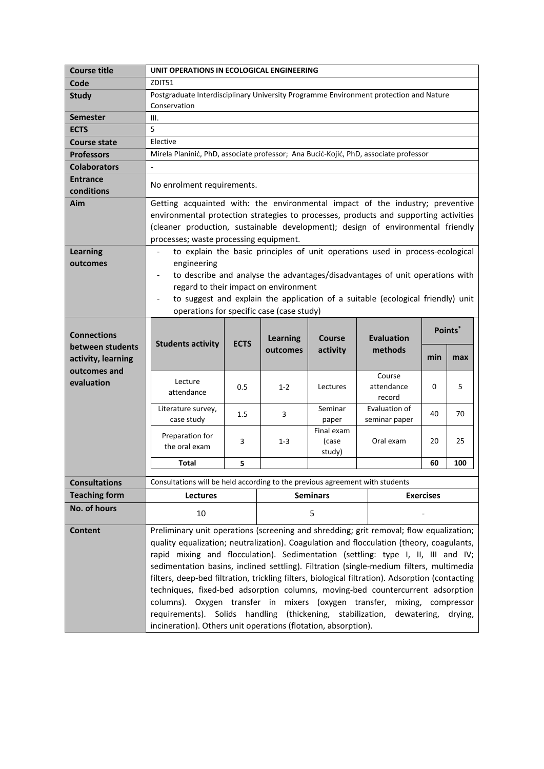| <b>Course title</b>  | UNIT OPERATIONS IN ECOLOGICAL ENGINEERING                                                                |                                                                                 |                 |                                                                                |                      |                  |                    |  |  |
|----------------------|----------------------------------------------------------------------------------------------------------|---------------------------------------------------------------------------------|-----------------|--------------------------------------------------------------------------------|----------------------|------------------|--------------------|--|--|
| Code                 | ZDIT51                                                                                                   |                                                                                 |                 |                                                                                |                      |                  |                    |  |  |
| <b>Study</b>         | Postgraduate Interdisciplinary University Programme Environment protection and Nature                    |                                                                                 |                 |                                                                                |                      |                  |                    |  |  |
|                      | Conservation                                                                                             |                                                                                 |                 |                                                                                |                      |                  |                    |  |  |
| <b>Semester</b>      | III.                                                                                                     |                                                                                 |                 |                                                                                |                      |                  |                    |  |  |
| <b>ECTS</b>          | 5                                                                                                        |                                                                                 |                 |                                                                                |                      |                  |                    |  |  |
| <b>Course state</b>  | Elective                                                                                                 |                                                                                 |                 |                                                                                |                      |                  |                    |  |  |
| <b>Professors</b>    | Mirela Planinić, PhD, associate professor; Ana Bucić-Kojić, PhD, associate professor                     |                                                                                 |                 |                                                                                |                      |                  |                    |  |  |
| <b>Colaborators</b>  | $\blacksquare$                                                                                           |                                                                                 |                 |                                                                                |                      |                  |                    |  |  |
| <b>Entrance</b>      | No enrolment requirements.                                                                               |                                                                                 |                 |                                                                                |                      |                  |                    |  |  |
| conditions           |                                                                                                          |                                                                                 |                 |                                                                                |                      |                  |                    |  |  |
| Aim                  | Getting acquainted with: the environmental impact of the industry; preventive                            |                                                                                 |                 |                                                                                |                      |                  |                    |  |  |
|                      | environmental protection strategies to processes, products and supporting activities                     |                                                                                 |                 |                                                                                |                      |                  |                    |  |  |
|                      |                                                                                                          | (cleaner production, sustainable development); design of environmental friendly |                 |                                                                                |                      |                  |                    |  |  |
|                      |                                                                                                          | processes; waste processing equipment.                                          |                 |                                                                                |                      |                  |                    |  |  |
| <b>Learning</b>      | to explain the basic principles of unit operations used in process-ecological                            |                                                                                 |                 |                                                                                |                      |                  |                    |  |  |
| outcomes             | engineering                                                                                              |                                                                                 |                 |                                                                                |                      |                  |                    |  |  |
|                      | to describe and analyse the advantages/disadvantages of unit operations with<br>$\overline{\phantom{a}}$ |                                                                                 |                 |                                                                                |                      |                  |                    |  |  |
|                      | regard to their impact on environment                                                                    |                                                                                 |                 |                                                                                |                      |                  |                    |  |  |
|                      | to suggest and explain the application of a suitable (ecological friendly) unit                          |                                                                                 |                 |                                                                                |                      |                  |                    |  |  |
|                      | operations for specific case (case study)                                                                |                                                                                 |                 |                                                                                |                      |                  |                    |  |  |
| <b>Connections</b>   | Points <sup>*</sup>                                                                                      |                                                                                 |                 |                                                                                |                      |                  |                    |  |  |
| between students     | <b>Students activity</b>                                                                                 | <b>ECTS</b>                                                                     | <b>Learning</b> | <b>Course</b>                                                                  | <b>Evaluation</b>    |                  |                    |  |  |
| activity, learning   |                                                                                                          |                                                                                 | outcomes        | activity                                                                       | methods              | min              | max                |  |  |
| outcomes and         |                                                                                                          |                                                                                 |                 |                                                                                |                      |                  |                    |  |  |
| evaluation           | Lecture                                                                                                  |                                                                                 |                 |                                                                                | Course               | 0                | 5                  |  |  |
|                      | attendance                                                                                               | 0.5                                                                             | $1 - 2$         | Lectures                                                                       | attendance<br>record |                  |                    |  |  |
|                      | Literature survey,                                                                                       |                                                                                 |                 | Seminar                                                                        | Evaluation of        |                  |                    |  |  |
|                      | case study                                                                                               | $1.5\,$                                                                         | 3               | paper                                                                          | seminar paper        | 40               | 70                 |  |  |
|                      | Preparation for                                                                                          | 3                                                                               |                 | Final exam                                                                     |                      |                  |                    |  |  |
|                      | the oral exam                                                                                            |                                                                                 | $1 - 3$         | (case                                                                          | Oral exam            | 20               | 25                 |  |  |
|                      |                                                                                                          |                                                                                 |                 | study)                                                                         |                      |                  |                    |  |  |
|                      | <b>Total</b>                                                                                             | 5                                                                               |                 |                                                                                |                      | 60               | 100                |  |  |
| <b>Consultations</b> | Consultations will be held according to the previous agreement with students                             |                                                                                 |                 |                                                                                |                      |                  |                    |  |  |
| <b>Teaching form</b> | Lectures                                                                                                 |                                                                                 |                 | <b>Seminars</b>                                                                |                      | <b>Exercises</b> |                    |  |  |
| No. of hours         | 10                                                                                                       |                                                                                 |                 | 5                                                                              |                      |                  |                    |  |  |
| <b>Content</b>       | Preliminary unit operations (screening and shredding; grit removal; flow equalization;                   |                                                                                 |                 |                                                                                |                      |                  |                    |  |  |
|                      | quality equalization; neutralization). Coagulation and flocculation (theory, coagulants,                 |                                                                                 |                 |                                                                                |                      |                  |                    |  |  |
|                      | rapid mixing and flocculation). Sedimentation (settling: type I, II, III and IV;                         |                                                                                 |                 |                                                                                |                      |                  |                    |  |  |
|                      | sedimentation basins, inclined settling). Filtration (single-medium filters, multimedia                  |                                                                                 |                 |                                                                                |                      |                  |                    |  |  |
|                      | filters, deep-bed filtration, trickling filters, biological filtration). Adsorption (contacting          |                                                                                 |                 |                                                                                |                      |                  |                    |  |  |
|                      |                                                                                                          |                                                                                 |                 | techniques, fixed-bed adsorption columns, moving-bed countercurrent adsorption |                      |                  |                    |  |  |
|                      |                                                                                                          |                                                                                 |                 |                                                                                |                      |                  |                    |  |  |
|                      | columns). Oxygen transfer in mixers (oxygen transfer,                                                    |                                                                                 |                 |                                                                                |                      |                  | mixing, compressor |  |  |
|                      | requirements). Solids handling                                                                           |                                                                                 |                 | (thickening, stabilization,                                                    | dewatering,          |                  | drying,            |  |  |